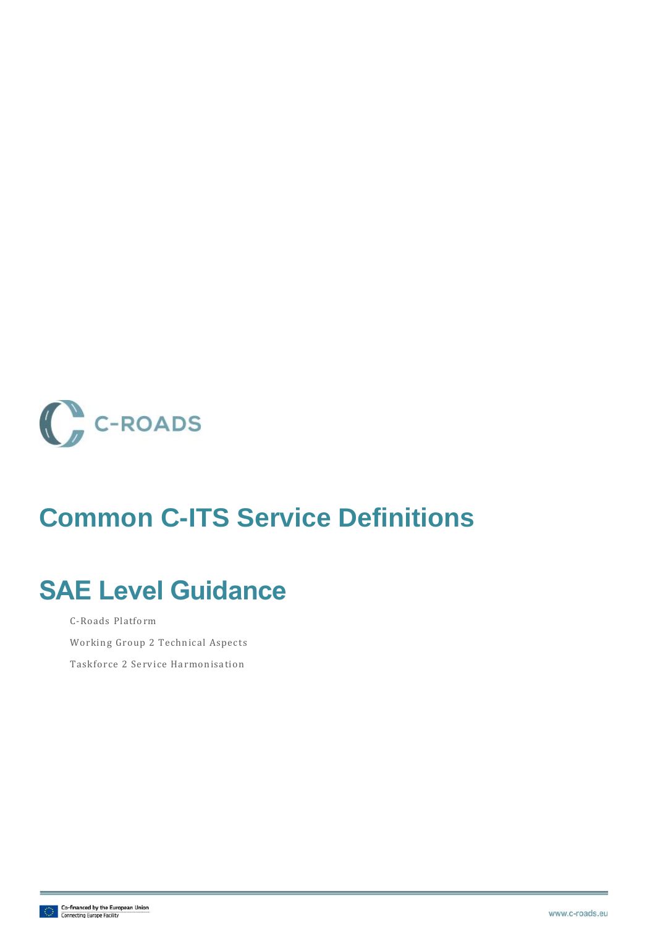

### **Common C-ITS Service Definitions**

## **SAE Level Guidance**

C-Roads Platform

Working Group 2 Technical Aspects

Taskforce 2 Service Harmonisation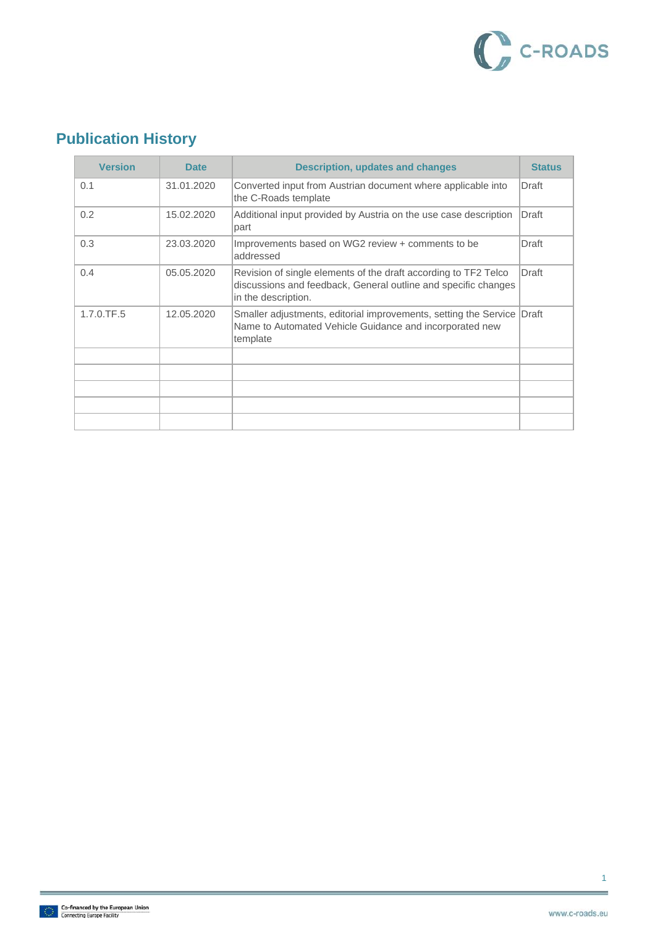

### **Publication History**

| <b>Version</b> | <b>Date</b> | <b>Description, updates and changes</b>                                                                                                                  | <b>Status</b> |
|----------------|-------------|----------------------------------------------------------------------------------------------------------------------------------------------------------|---------------|
| 0.1            | 31.01.2020  | Converted input from Austrian document where applicable into<br>the C-Roads template                                                                     | Draft         |
| 0.2            | 15.02.2020  | Additional input provided by Austria on the use case description<br>part                                                                                 | Draft         |
| 0.3            | 23.03.2020  | Improvements based on WG2 review + comments to be<br>addressed                                                                                           | Draft         |
| 0.4            | 05.05.2020  | Revision of single elements of the draft according to TF2 Telco<br>discussions and feedback, General outline and specific changes<br>in the description. | Draft         |
| 1.7.0.TF.5     | 12.05.2020  | Smaller adjustments, editorial improvements, setting the Service<br>Name to Automated Vehicle Guidance and incorporated new<br>template                  | Draft         |
|                |             |                                                                                                                                                          |               |
|                |             |                                                                                                                                                          |               |
|                |             |                                                                                                                                                          |               |
|                |             |                                                                                                                                                          |               |
|                |             |                                                                                                                                                          |               |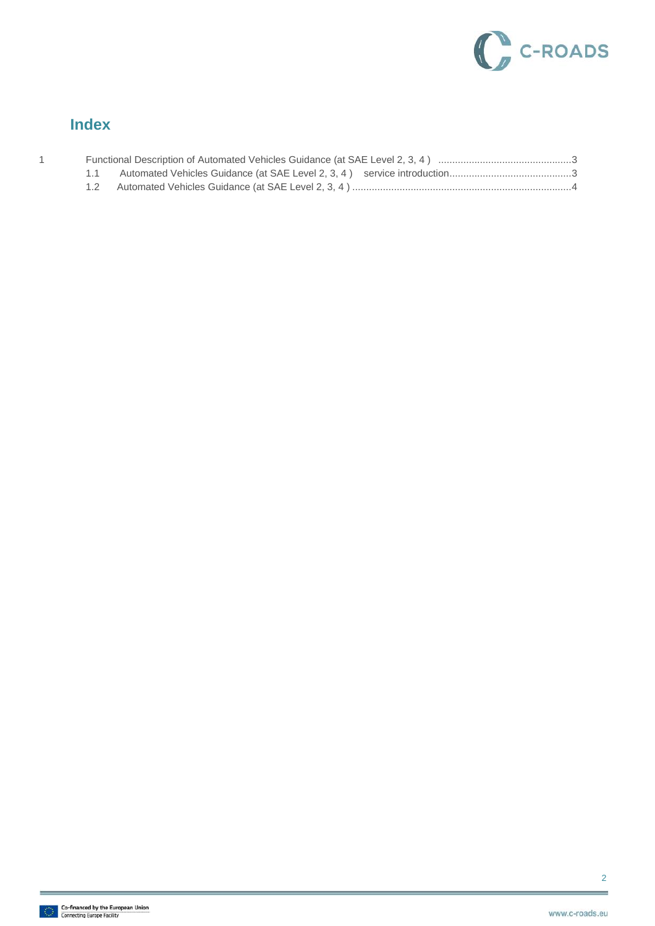

#### **Index**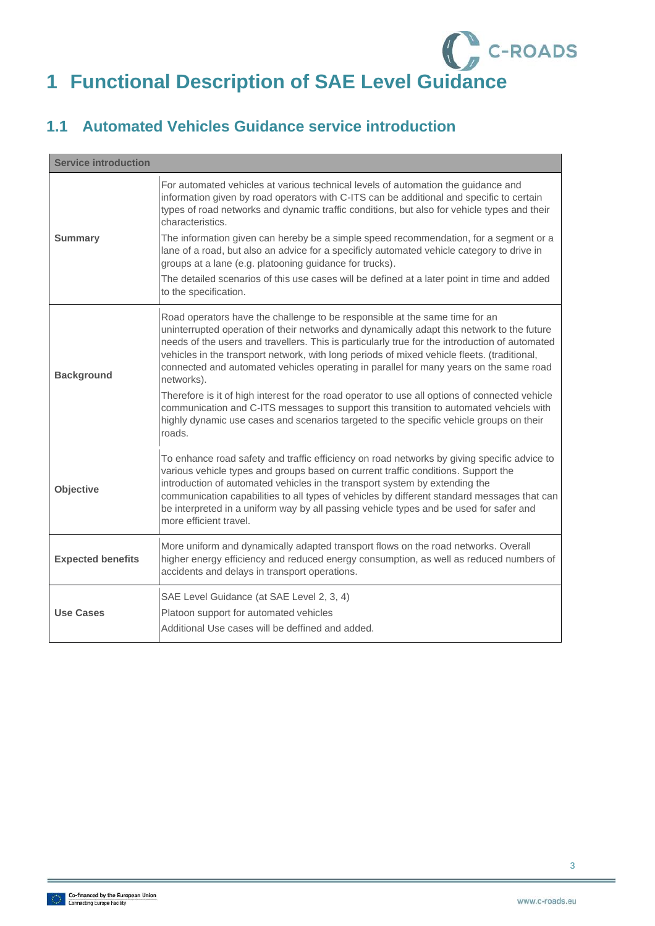# <span id="page-3-0"></span>C<sub>c</sub>-ROADS **1 Functional Description of SAE Level Guidance**

#### <span id="page-3-1"></span>**1.1 Automated Vehicles Guidance service introduction**

| <b>Service introduction</b> |                                                                                                                                                                                                                                                                                                                                                                                                                                                                                                                                                    |  |
|-----------------------------|----------------------------------------------------------------------------------------------------------------------------------------------------------------------------------------------------------------------------------------------------------------------------------------------------------------------------------------------------------------------------------------------------------------------------------------------------------------------------------------------------------------------------------------------------|--|
| <b>Summary</b>              | For automated vehicles at various technical levels of automation the guidance and<br>information given by road operators with C-ITS can be additional and specific to certain<br>types of road networks and dynamic traffic conditions, but also for vehicle types and their<br>characteristics.<br>The information given can hereby be a simple speed recommendation, for a segment or a<br>lane of a road, but also an advice for a specificly automated vehicle category to drive in<br>groups at a lane (e.g. platooning guidance for trucks). |  |
|                             | The detailed scenarios of this use cases will be defined at a later point in time and added<br>to the specification.                                                                                                                                                                                                                                                                                                                                                                                                                               |  |
| <b>Background</b>           | Road operators have the challenge to be responsible at the same time for an<br>uninterrupted operation of their networks and dynamically adapt this network to the future<br>needs of the users and travellers. This is particularly true for the introduction of automated<br>vehicles in the transport network, with long periods of mixed vehicle fleets. (traditional,<br>connected and automated vehicles operating in parallel for many years on the same road<br>networks).                                                                 |  |
|                             | Therefore is it of high interest for the road operator to use all options of connected vehicle<br>communication and C-ITS messages to support this transition to automated vehciels with<br>highly dynamic use cases and scenarios targeted to the specific vehicle groups on their<br>roads.                                                                                                                                                                                                                                                      |  |
| Objective                   | To enhance road safety and traffic efficiency on road networks by giving specific advice to<br>various vehicle types and groups based on current traffic conditions. Support the<br>introduction of automated vehicles in the transport system by extending the<br>communication capabilities to all types of vehicles by different standard messages that can<br>be interpreted in a uniform way by all passing vehicle types and be used for safer and<br>more efficient travel.                                                                 |  |
| <b>Expected benefits</b>    | More uniform and dynamically adapted transport flows on the road networks. Overall<br>higher energy efficiency and reduced energy consumption, as well as reduced numbers of<br>accidents and delays in transport operations.                                                                                                                                                                                                                                                                                                                      |  |
| <b>Use Cases</b>            | SAE Level Guidance (at SAE Level 2, 3, 4)<br>Platoon support for automated vehicles<br>Additional Use cases will be deffined and added.                                                                                                                                                                                                                                                                                                                                                                                                            |  |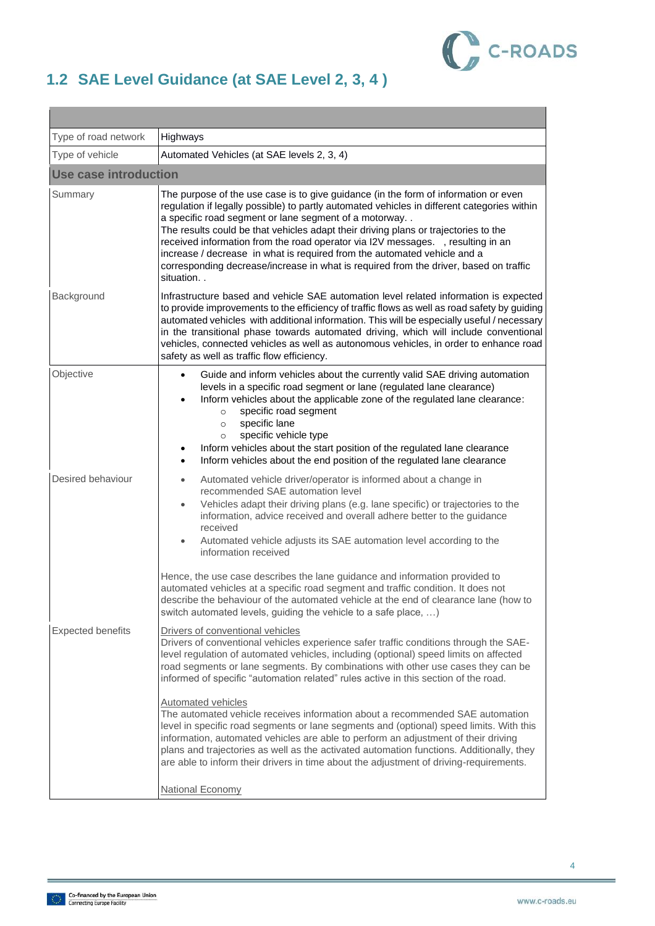

### <span id="page-4-0"></span>**1.2 SAE Level Guidance (at SAE Level 2, 3, 4 )**

| Type of road network     | Highways                                                                                                                                                                                                                                                                                                                                                                                                                                                                                                                                                                                                                                                                                                                                                                                                                                                                                                      |  |
|--------------------------|---------------------------------------------------------------------------------------------------------------------------------------------------------------------------------------------------------------------------------------------------------------------------------------------------------------------------------------------------------------------------------------------------------------------------------------------------------------------------------------------------------------------------------------------------------------------------------------------------------------------------------------------------------------------------------------------------------------------------------------------------------------------------------------------------------------------------------------------------------------------------------------------------------------|--|
| Type of vehicle          | Automated Vehicles (at SAE levels 2, 3, 4)                                                                                                                                                                                                                                                                                                                                                                                                                                                                                                                                                                                                                                                                                                                                                                                                                                                                    |  |
| Use case introduction    |                                                                                                                                                                                                                                                                                                                                                                                                                                                                                                                                                                                                                                                                                                                                                                                                                                                                                                               |  |
| Summary                  | The purpose of the use case is to give guidance (in the form of information or even<br>regulation if legally possible) to partly automated vehicles in different categories within<br>a specific road segment or lane segment of a motorway<br>The results could be that vehicles adapt their driving plans or trajectories to the<br>received information from the road operator via I2V messages. , resulting in an<br>increase / decrease in what is required from the automated vehicle and a<br>corresponding decrease/increase in what is required from the driver, based on traffic<br>situation. .                                                                                                                                                                                                                                                                                                    |  |
| Background               | Infrastructure based and vehicle SAE automation level related information is expected<br>to provide improvements to the efficiency of traffic flows as well as road safety by guiding<br>automated vehicles with additional information. This will be especially useful / necessary<br>in the transitional phase towards automated driving, which will include conventional<br>vehicles, connected vehicles as well as autonomous vehicles, in order to enhance road<br>safety as well as traffic flow efficiency.                                                                                                                                                                                                                                                                                                                                                                                            |  |
| Objective                | Guide and inform vehicles about the currently valid SAE driving automation<br>$\bullet$<br>levels in a specific road segment or lane (regulated lane clearance)<br>Inform vehicles about the applicable zone of the regulated lane clearance:<br>$\bullet$<br>specific road segment<br>$\circ$<br>specific lane<br>$\circ$<br>specific vehicle type<br>$\circ$<br>Inform vehicles about the start position of the regulated lane clearance<br>$\bullet$<br>Inform vehicles about the end position of the regulated lane clearance<br>$\bullet$                                                                                                                                                                                                                                                                                                                                                                |  |
| Desired behaviour        | Automated vehicle driver/operator is informed about a change in<br>$\bullet$<br>recommended SAE automation level<br>Vehicles adapt their driving plans (e.g. lane specific) or trajectories to the<br>$\bullet$<br>information, advice received and overall adhere better to the guidance<br>received<br>Automated vehicle adjusts its SAE automation level according to the<br>$\bullet$<br>information received<br>Hence, the use case describes the lane guidance and information provided to<br>automated vehicles at a specific road segment and traffic condition. It does not<br>describe the behaviour of the automated vehicle at the end of clearance lane (how to<br>switch automated levels, guiding the vehicle to a safe place, )                                                                                                                                                               |  |
| <b>Expected benefits</b> | Drivers of conventional vehicles<br>Drivers of conventional vehicles experience safer traffic conditions through the SAE-<br>level regulation of automated vehicles, including (optional) speed limits on affected<br>road segments or lane segments. By combinations with other use cases they can be<br>informed of specific "automation related" rules active in this section of the road.<br><b>Automated vehicles</b><br>The automated vehicle receives information about a recommended SAE automation<br>level in specific road segments or lane segments and (optional) speed limits. With this<br>information, automated vehicles are able to perform an adjustment of their driving<br>plans and trajectories as well as the activated automation functions. Additionally, they<br>are able to inform their drivers in time about the adjustment of driving-requirements.<br><b>National Economy</b> |  |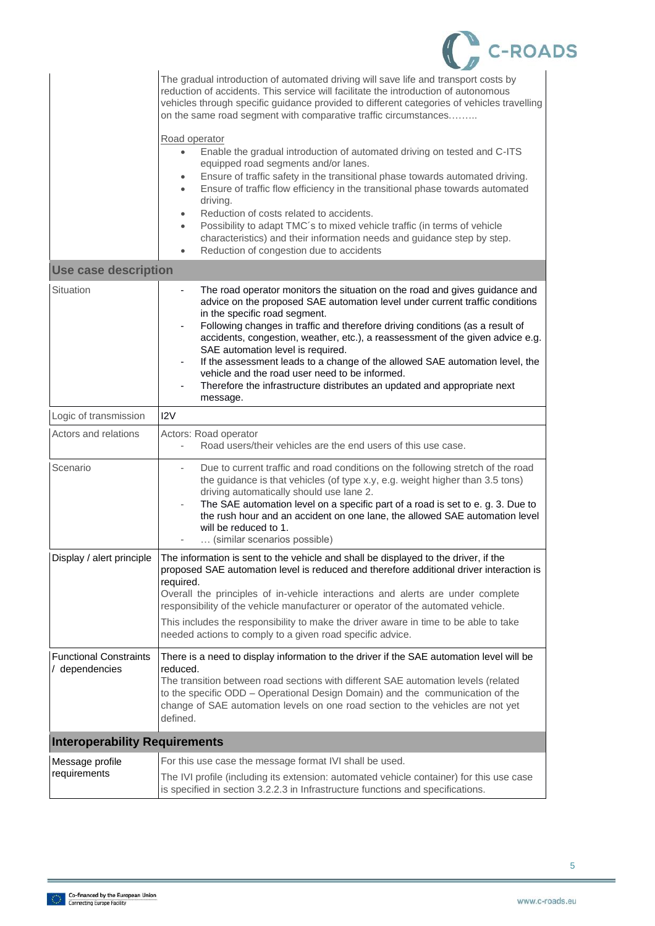|  | POADS |
|--|-------|
|--|-------|

|                                                 | The gradual introduction of automated driving will save life and transport costs by<br>reduction of accidents. This service will facilitate the introduction of autonomous<br>vehicles through specific guidance provided to different categories of vehicles travelling<br>on the same road segment with comparative traffic circumstances<br>Road operator<br>Enable the gradual introduction of automated driving on tested and C-ITS<br>$\bullet$<br>equipped road segments and/or lanes.<br>Ensure of traffic safety in the transitional phase towards automated driving.<br>۰<br>Ensure of traffic flow efficiency in the transitional phase towards automated<br>$\bullet$<br>driving.<br>Reduction of costs related to accidents.<br>$\bullet$<br>Possibility to adapt TMC's to mixed vehicle traffic (in terms of vehicle<br>$\bullet$<br>characteristics) and their information needs and guidance step by step.<br>Reduction of congestion due to accidents<br>$\bullet$ |
|-------------------------------------------------|-------------------------------------------------------------------------------------------------------------------------------------------------------------------------------------------------------------------------------------------------------------------------------------------------------------------------------------------------------------------------------------------------------------------------------------------------------------------------------------------------------------------------------------------------------------------------------------------------------------------------------------------------------------------------------------------------------------------------------------------------------------------------------------------------------------------------------------------------------------------------------------------------------------------------------------------------------------------------------------|
| <b>Use case description</b>                     |                                                                                                                                                                                                                                                                                                                                                                                                                                                                                                                                                                                                                                                                                                                                                                                                                                                                                                                                                                                     |
| Situation                                       | The road operator monitors the situation on the road and gives guidance and<br>$\overline{\phantom{0}}$<br>advice on the proposed SAE automation level under current traffic conditions<br>in the specific road segment.<br>Following changes in traffic and therefore driving conditions (as a result of<br>accidents, congestion, weather, etc.), a reassessment of the given advice e.g.<br>SAE automation level is required.<br>If the assessment leads to a change of the allowed SAE automation level, the<br>vehicle and the road user need to be informed.<br>Therefore the infrastructure distributes an updated and appropriate next<br>message.                                                                                                                                                                                                                                                                                                                          |
| Logic of transmission                           | 12V                                                                                                                                                                                                                                                                                                                                                                                                                                                                                                                                                                                                                                                                                                                                                                                                                                                                                                                                                                                 |
| Actors and relations                            | Actors: Road operator<br>Road users/their vehicles are the end users of this use case.                                                                                                                                                                                                                                                                                                                                                                                                                                                                                                                                                                                                                                                                                                                                                                                                                                                                                              |
| Scenario                                        | Due to current traffic and road conditions on the following stretch of the road<br>the guidance is that vehicles (of type x.y, e.g. weight higher than 3.5 tons)<br>driving automatically should use lane 2.<br>The SAE automation level on a specific part of a road is set to e. g. 3. Due to<br>the rush hour and an accident on one lane, the allowed SAE automation level<br>will be reduced to 1.<br>(similar scenarios possible)                                                                                                                                                                                                                                                                                                                                                                                                                                                                                                                                             |
| Display / alert principle                       | The information is sent to the vehicle and shall be displayed to the driver, if the<br>proposed SAE automation level is reduced and therefore additional driver interaction is<br>required.<br>Overall the principles of in-vehicle interactions and alerts are under complete<br>responsibility of the vehicle manufacturer or operator of the automated vehicle.<br>This includes the responsibility to make the driver aware in time to be able to take<br>needed actions to comply to a given road specific advice.                                                                                                                                                                                                                                                                                                                                                                                                                                                             |
| <b>Functional Constraints</b><br>/ dependencies | There is a need to display information to the driver if the SAE automation level will be<br>reduced.<br>The transition between road sections with different SAE automation levels (related<br>to the specific ODD - Operational Design Domain) and the communication of the<br>change of SAE automation levels on one road section to the vehicles are not yet<br>defined.                                                                                                                                                                                                                                                                                                                                                                                                                                                                                                                                                                                                          |
| <b>Interoperability Requirements</b>            |                                                                                                                                                                                                                                                                                                                                                                                                                                                                                                                                                                                                                                                                                                                                                                                                                                                                                                                                                                                     |
| Message profile<br>requirements                 | For this use case the message format IVI shall be used.                                                                                                                                                                                                                                                                                                                                                                                                                                                                                                                                                                                                                                                                                                                                                                                                                                                                                                                             |
|                                                 | The IVI profile (including its extension: automated vehicle container) for this use case<br>is specified in section 3.2.2.3 in Infrastructure functions and specifications.                                                                                                                                                                                                                                                                                                                                                                                                                                                                                                                                                                                                                                                                                                                                                                                                         |